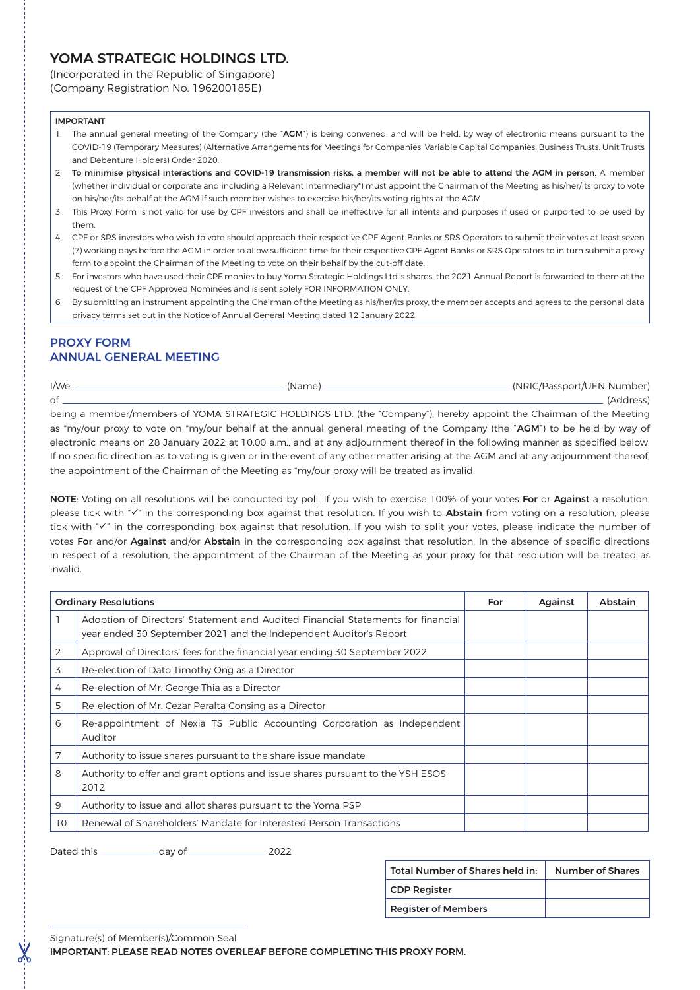# YOMA STRATEGIC HOLDINGS LTD.

(Incorporated in the Republic of Singapore)

(Company Registration No. 196200185E)

#### IMPORTANT

- 1. The annual general meeting of the Company (the "AGM") is being convened, and will be held, by way of electronic means pursuant to the COVID-19 (Temporary Measures) (Alternative Arrangements for Meetings for Companies, Variable Capital Companies, Business Trusts, Unit Trusts and Debenture Holders) Order 2020.
- 2. To minimise physical interactions and COVID-19 transmission risks, a member will not be able to attend the AGM in person. A member (whether individual or corporate and including a Relevant Intermediary\*) must appoint the Chairman of the Meeting as his/her/its proxy to vote on his/her/its behalf at the AGM if such member wishes to exercise his/her/its voting rights at the AGM.
- 3. This Proxy Form is not valid for use by CPF investors and shall be ineffective for all intents and purposes if used or purported to be used by them.
- 4. CPF or SRS investors who wish to vote should approach their respective CPF Agent Banks or SRS Operators to submit their votes at least seven (7) working days before the AGM in order to allow sufficient time for their respective CPF Agent Banks or SRS Operators to in turn submit a proxy form to appoint the Chairman of the Meeting to vote on their behalf by the cut-off date.
- 5. For investors who have used their CPF monies to buy Yoma Strategic Holdings Ltd.'s shares, the 2021 Annual Report is forwarded to them at the request of the CPF Approved Nominees and is sent solely FOR INFORMATION ONLY.
- 6. By submitting an instrument appointing the Chairman of the Meeting as his/her/its proxy, the member accepts and agrees to the personal data privacy terms set out in the Notice of Annual General Meeting dated 12 January 2022.

## PROXY FORM ANNUAL GENERAL MEETING

| I/We, ______ |                                                                                                                                       | (NRIC/Passport/UEN Number) |
|--------------|---------------------------------------------------------------------------------------------------------------------------------------|----------------------------|
| of           |                                                                                                                                       | (Address)                  |
|              | being a member/members of YOMA STRATEGIC HOLDINGS LTD. (the "Company"), hereby appoint the Chairman of the Meeting                    |                            |
|              | as *my/our proxy to vote on *my/our behalf at the annual general meeting of the Company (the "AGM") to be held by way of              |                            |
|              | electronic means on 28 January 2022 at 10.00 a.m., and at any adjournment thereof in the following manner as specified below.         |                            |
|              | If no specific direction as to voting is given or in the event of any other matter arising at the AGM and at any adjournment thereof. |                            |
|              | the appointment of the Chairman of the Meeting as 'my/our proxy will be treated as invalid.                                           |                            |

NOTE: Voting on all resolutions will be conducted by poll. If you wish to exercise 100% of your votes For or Against a resolution, please tick with "v" in the corresponding box against that resolution. If you wish to Abstain from voting on a resolution, please tick with "v" in the corresponding box against that resolution. If you wish to split your votes, please indicate the number of votes For and/or Against and/or Abstain in the corresponding box against that resolution. In the absence of specific directions in respect of a resolution, the appointment of the Chairman of the Meeting as your proxy for that resolution will be treated as invalid.

| <b>Ordinary Resolutions</b> |                                                                                                                                                      | For | Against | Abstain |
|-----------------------------|------------------------------------------------------------------------------------------------------------------------------------------------------|-----|---------|---------|
|                             | Adoption of Directors' Statement and Audited Financial Statements for financial<br>year ended 30 September 2021 and the Independent Auditor's Report |     |         |         |
| 2                           | Approval of Directors' fees for the financial year ending 30 September 2022                                                                          |     |         |         |
| 3                           | Re-election of Dato Timothy Ong as a Director                                                                                                        |     |         |         |
| 4                           | Re-election of Mr. George Thia as a Director                                                                                                         |     |         |         |
| 5                           | Re-election of Mr. Cezar Peralta Consing as a Director                                                                                               |     |         |         |
| 6                           | Re-appointment of Nexia TS Public Accounting Corporation as Independent<br>Auditor                                                                   |     |         |         |
| 7                           | Authority to issue shares pursuant to the share issue mandate                                                                                        |     |         |         |
| 8                           | Authority to offer and grant options and issue shares pursuant to the YSH ESOS<br>2012                                                               |     |         |         |
| 9                           | Authority to issue and allot shares pursuant to the Yoma PSP                                                                                         |     |         |         |
| 10                          | Renewal of Shareholders' Mandate for Interested Person Transactions                                                                                  |     |         |         |

Dated this \_\_\_\_\_\_\_\_\_\_\_\_\_ day of \_\_\_\_\_\_\_\_\_\_\_\_\_\_\_\_\_\_\_ 2022

| Total Number of Shares held in: | <b>Number of Shares</b> |
|---------------------------------|-------------------------|
| CDP Register                    |                         |
| <b>Register of Members</b>      |                         |

Signature(s) of Member(s)/Common Seal

&

IMPORTANT: PLEASE READ NOTES OVERLEAF BEFORE COMPLETING THIS PROXY FORM.